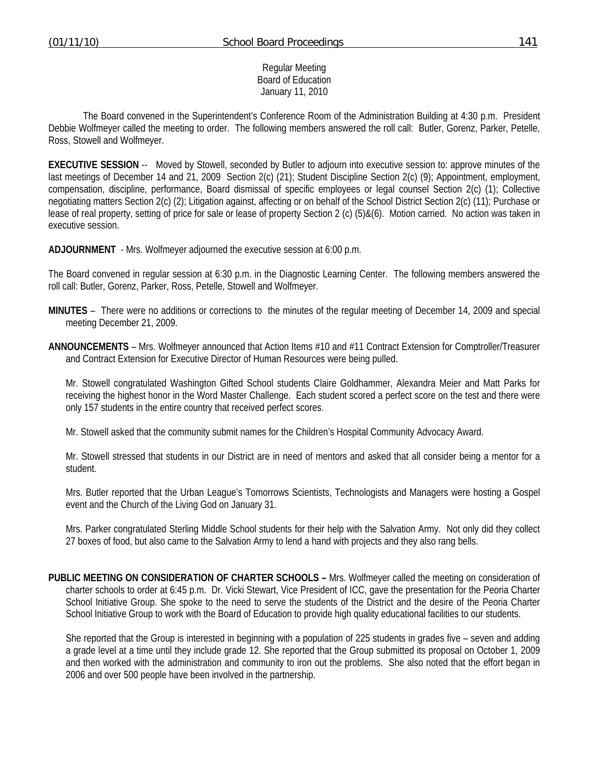#### Regular Meeting Board of Education January 11, 2010

 The Board convened in the Superintendent's Conference Room of the Administration Building at 4:30 p.m. President Debbie Wolfmeyer called the meeting to order. The following members answered the roll call: Butler, Gorenz, Parker, Petelle, Ross, Stowell and Wolfmeyer.

**EXECUTIVE SESSION** -- Moved by Stowell, seconded by Butler to adjourn into executive session to: approve minutes of the last meetings of December 14 and 21, 2009 Section 2(c) (21); Student Discipline Section 2(c) (9); Appointment, employment, compensation, discipline, performance, Board dismissal of specific employees or legal counsel Section 2(c) (1); Collective negotiating matters Section 2(c) (2); Litigation against, affecting or on behalf of the School District Section 2(c) (11); Purchase or lease of real property, setting of price for sale or lease of property Section 2 (c) (5)&(6). Motion carried. No action was taken in executive session.

**ADJOURNMENT** - Mrs. Wolfmeyer adjourned the executive session at 6:00 p.m.

The Board convened in regular session at 6:30 p.m. in the Diagnostic Learning Center. The following members answered the roll call: Butler, Gorenz, Parker, Ross, Petelle, Stowell and Wolfmeyer.

- **MINUTES** There were no additions or corrections to the minutes of the regular meeting of December 14, 2009 and special meeting December 21, 2009.
- **ANNOUNCEMENTS** Mrs. Wolfmeyer announced that Action Items #10 and #11 Contract Extension for Comptroller/Treasurer and Contract Extension for Executive Director of Human Resources were being pulled.

 Mr. Stowell congratulated Washington Gifted School students Claire Goldhammer, Alexandra Meier and Matt Parks for receiving the highest honor in the Word Master Challenge. Each student scored a perfect score on the test and there were only 157 students in the entire country that received perfect scores.

Mr. Stowell asked that the community submit names for the Children's Hospital Community Advocacy Award.

 Mr. Stowell stressed that students in our District are in need of mentors and asked that all consider being a mentor for a student.

 Mrs. Butler reported that the Urban League's Tomorrows Scientists, Technologists and Managers were hosting a Gospel event and the Church of the Living God on January 31.

 Mrs. Parker congratulated Sterling Middle School students for their help with the Salvation Army. Not only did they collect 27 boxes of food, but also came to the Salvation Army to lend a hand with projects and they also rang bells.

**PUBLIC MEETING ON CONSIDERATION OF CHARTER SCHOOLS –** Mrs. Wolfmeyer called the meeting on consideration of charter schools to order at 6:45 p.m. Dr. Vicki Stewart, Vice President of ICC, gave the presentation for the Peoria Charter School Initiative Group. She spoke to the need to serve the students of the District and the desire of the Peoria Charter School Initiative Group to work with the Board of Education to provide high quality educational facilities to our students.

 She reported that the Group is interested in beginning with a population of 225 students in grades five – seven and adding a grade level at a time until they include grade 12. She reported that the Group submitted its proposal on October 1, 2009 and then worked with the administration and community to iron out the problems. She also noted that the effort began in 2006 and over 500 people have been involved in the partnership.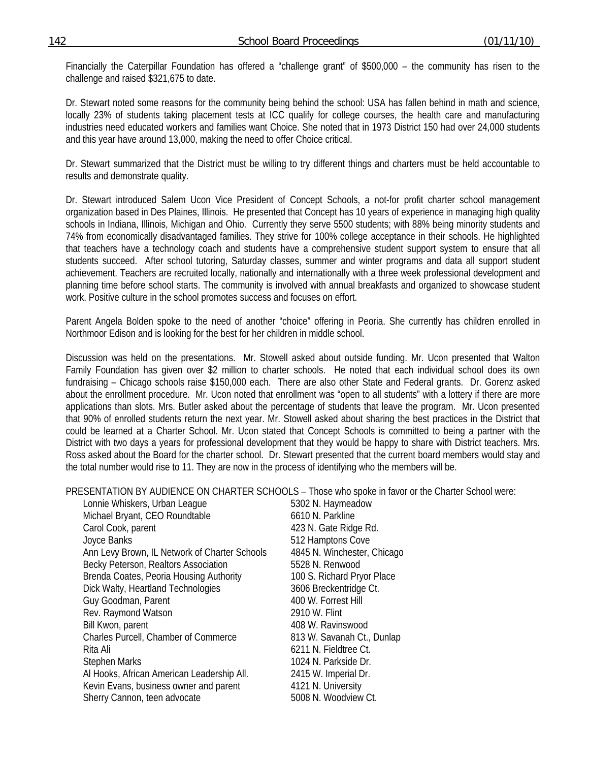Financially the Caterpillar Foundation has offered a "challenge grant" of \$500,000 – the community has risen to the challenge and raised \$321,675 to date.

 Dr. Stewart noted some reasons for the community being behind the school: USA has fallen behind in math and science, locally 23% of students taking placement tests at ICC qualify for college courses, the health care and manufacturing industries need educated workers and families want Choice. She noted that in 1973 District 150 had over 24,000 students and this year have around 13,000, making the need to offer Choice critical.

 Dr. Stewart summarized that the District must be willing to try different things and charters must be held accountable to results and demonstrate quality.

 Dr. Stewart introduced Salem Ucon Vice President of Concept Schools, a not-for profit charter school management organization based in Des Plaines, Illinois. He presented that Concept has 10 years of experience in managing high quality schools in Indiana, Illinois, Michigan and Ohio. Currently they serve 5500 students; with 88% being minority students and 74% from economically disadvantaged families. They strive for 100% college acceptance in their schools. He highlighted that teachers have a technology coach and students have a comprehensive student support system to ensure that all students succeed. After school tutoring, Saturday classes, summer and winter programs and data all support student achievement. Teachers are recruited locally, nationally and internationally with a three week professional development and planning time before school starts. The community is involved with annual breakfasts and organized to showcase student work. Positive culture in the school promotes success and focuses on effort.

 Parent Angela Bolden spoke to the need of another "choice" offering in Peoria. She currently has children enrolled in Northmoor Edison and is looking for the best for her children in middle school.

 Discussion was held on the presentations. Mr. Stowell asked about outside funding. Mr. Ucon presented that Walton Family Foundation has given over \$2 million to charter schools. He noted that each individual school does its own fundraising – Chicago schools raise \$150,000 each. There are also other State and Federal grants. Dr. Gorenz asked about the enrollment procedure. Mr. Ucon noted that enrollment was "open to all students" with a lottery if there are more applications than slots. Mrs. Butler asked about the percentage of students that leave the program. Mr. Ucon presented that 90% of enrolled students return the next year. Mr. Stowell asked about sharing the best practices in the District that could be learned at a Charter School. Mr. Ucon stated that Concept Schools is committed to being a partner with the District with two days a years for professional development that they would be happy to share with District teachers. Mrs. Ross asked about the Board for the charter school. Dr. Stewart presented that the current board members would stay and the total number would rise to 11. They are now in the process of identifying who the members will be.

PRESENTATION BY AUDIENCE ON CHARTER SCHOOLS – Those who spoke in favor or the Charter School were:

Lonnie Whiskers, Urban League 5302 N. Haymeadow Michael Bryant, CEO Roundtable 6610 N. Parkline Carol Cook, parent **423 N.** Gate Ridge Rd. Joyce Banks 512 Hamptons Cove Ann Levy Brown, IL Network of Charter Schools 4845 N. Winchester, Chicago Becky Peterson, Realtors Association 5528 N. Renwood Brenda Coates, Peoria Housing Authority 100 S. Richard Pryor Place Dick Walty, Heartland Technologies 3606 Breckentridge Ct. Guy Goodman, Parent 400 W. Forrest Hill Rev. Raymond Watson 2910 W. Flint Bill Kwon, parent 1988 W. Ravinswood Charles Purcell, Chamber of Commerce 813 W. Savanah Ct., Dunlap Rita Ali 6211 N. Fieldtree Ct. Stephen Marks 1024 N. Parkside Dr. Al Hooks, African American Leadership All. 2415 W. Imperial Dr. Kevin Evans, business owner and parent 4121 N. University Sherry Cannon, teen advocate 5008 N. Woodview Ct.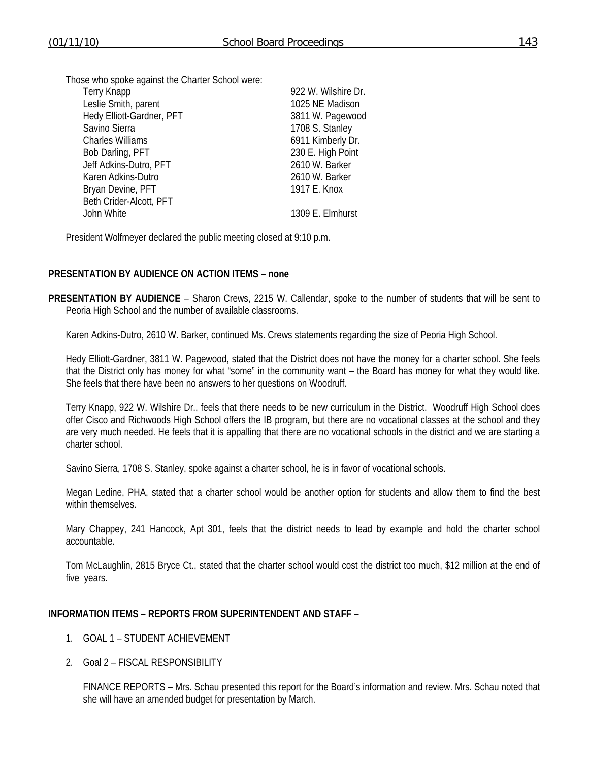| <b>Terry Knapp</b>        | 922 W. Wilshire Dr. |
|---------------------------|---------------------|
| Leslie Smith, parent      | 1025 NE Madison     |
| Hedy Elliott-Gardner, PFT | 3811 W. Pagewood    |
| Savino Sierra             | 1708 S. Stanley     |
| <b>Charles Williams</b>   | 6911 Kimberly Dr.   |
| Bob Darling, PFT          | 230 E. High Point   |
| Jeff Adkins-Dutro, PFT    | 2610 W. Barker      |
| Karen Adkins-Dutro        | 2610 W. Barker      |
| Bryan Devine, PFT         | 1917 E. Knox        |
| Beth Crider-Alcott, PFT   |                     |
| John White                | 1309 E. Elmhurst    |
|                           |                     |

President Wolfmeyer declared the public meeting closed at 9:10 p.m.

#### **PRESENTATION BY AUDIENCE ON ACTION ITEMS – none**

**PRESENTATION BY AUDIENCE** – Sharon Crews, 2215 W. Callendar, spoke to the number of students that will be sent to Peoria High School and the number of available classrooms.

Karen Adkins-Dutro, 2610 W. Barker, continued Ms. Crews statements regarding the size of Peoria High School.

 Hedy Elliott-Gardner, 3811 W. Pagewood, stated that the District does not have the money for a charter school. She feels that the District only has money for what "some" in the community want – the Board has money for what they would like. She feels that there have been no answers to her questions on Woodruff.

 Terry Knapp, 922 W. Wilshire Dr., feels that there needs to be new curriculum in the District. Woodruff High School does offer Cisco and Richwoods High School offers the IB program, but there are no vocational classes at the school and they are very much needed. He feels that it is appalling that there are no vocational schools in the district and we are starting a charter school.

Savino Sierra, 1708 S. Stanley, spoke against a charter school, he is in favor of vocational schools.

 Megan Ledine, PHA, stated that a charter school would be another option for students and allow them to find the best within themselves.

 Mary Chappey, 241 Hancock, Apt 301, feels that the district needs to lead by example and hold the charter school accountable.

 Tom McLaughlin, 2815 Bryce Ct., stated that the charter school would cost the district too much, \$12 million at the end of five years.

#### **INFORMATION ITEMS – REPORTS FROM SUPERINTENDENT AND STAFF** –

- 1. GOAL 1 STUDENT ACHIEVEMENT
- 2. Goal 2 FISCAL RESPONSIBILITY

 FINANCE REPORTS – Mrs. Schau presented this report for the Board's information and review. Mrs. Schau noted that she will have an amended budget for presentation by March.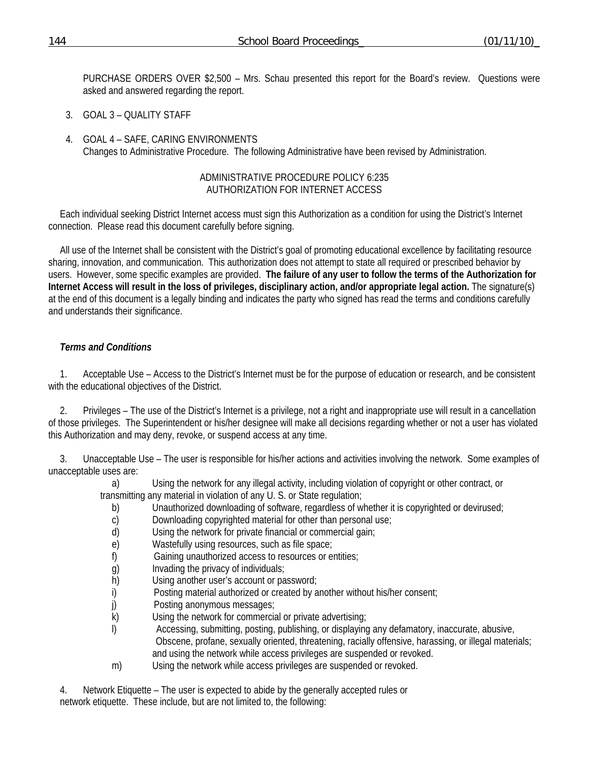PURCHASE ORDERS OVER \$2,500 – Mrs. Schau presented this report for the Board's review. Questions were asked and answered regarding the report.

- 3. GOAL 3 QUALITY STAFF
- 4. GOAL 4 SAFE, CARING ENVIRONMENTS Changes to Administrative Procedure. The following Administrative have been revised by Administration.

#### ADMINISTRATIVE PROCEDURE POLICY 6:235 AUTHORIZATION FOR INTERNET ACCESS

Each individual seeking District Internet access must sign this Authorization as a condition for using the District's Internet connection. Please read this document carefully before signing.

All use of the Internet shall be consistent with the District's goal of promoting educational excellence by facilitating resource sharing, innovation, and communication. This authorization does not attempt to state all required or prescribed behavior by users. However, some specific examples are provided. **The failure of any user to follow the terms of the Authorization for Internet Access will result in the loss of privileges, disciplinary action, and/or appropriate legal action.** The signature(s) at the end of this document is a legally binding and indicates the party who signed has read the terms and conditions carefully and understands their significance.

#### *Terms and Conditions*

1. Acceptable Use – Access to the District's Internet must be for the purpose of education or research, and be consistent with the educational objectives of the District.

2. Privileges – The use of the District's Internet is a privilege, not a right and inappropriate use will result in a cancellation of those privileges. The Superintendent or his/her designee will make all decisions regarding whether or not a user has violated this Authorization and may deny, revoke, or suspend access at any time.

3. Unacceptable Use – The user is responsible for his/her actions and activities involving the network. Some examples of unacceptable uses are:

a) Using the network for any illegal activity, including violation of copyright or other contract, or transmitting any material in violation of any U. S. or State regulation;

- b) Unauthorized downloading of software, regardless of whether it is copyrighted or devirused;
- c) Downloading copyrighted material for other than personal use;
- d) Using the network for private financial or commercial gain;
- e) Wastefully using resources, such as file space;
- f) Gaining unauthorized access to resources or entities;
- g) Invading the privacy of individuals;
- h) Using another user's account or password;
- i) Posting material authorized or created by another without his/her consent;
- j) Posting anonymous messages;
- k) Using the network for commercial or private advertising;
- l) Accessing, submitting, posting, publishing, or displaying any defamatory, inaccurate, abusive, Obscene, profane, sexually oriented, threatening, racially offensive, harassing, or illegal materials; and using the network while access privileges are suspended or revoked.
- m) Using the network while access privileges are suspended or revoked.

4. Network Etiquette – The user is expected to abide by the generally accepted rules or network etiquette. These include, but are not limited to, the following: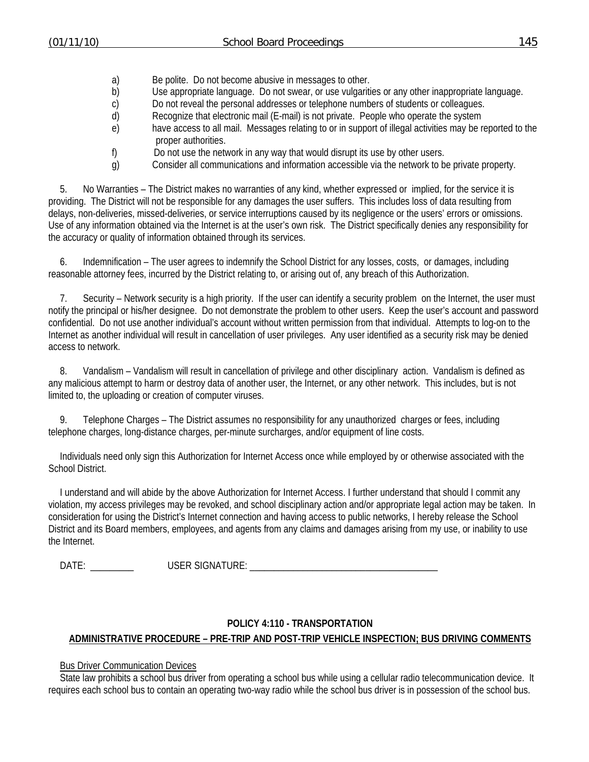- a) Be polite. Do not become abusive in messages to other.
- b) Use appropriate language. Do not swear, or use vulgarities or any other inappropriate language.
- c) Do not reveal the personal addresses or telephone numbers of students or colleagues.
- d) Recognize that electronic mail (E-mail) is not private. People who operate the system
- e) have access to all mail. Messages relating to or in support of illegal activities may be reported to the proper authorities.
- f) Do not use the network in any way that would disrupt its use by other users.
- g) Consider all communications and information accessible via the network to be private property.

5. No Warranties – The District makes no warranties of any kind, whether expressed or implied, for the service it is providing. The District will not be responsible for any damages the user suffers. This includes loss of data resulting from delays, non-deliveries, missed-deliveries, or service interruptions caused by its negligence or the users' errors or omissions. Use of any information obtained via the Internet is at the user's own risk. The District specifically denies any responsibility for the accuracy or quality of information obtained through its services.

6. Indemnification – The user agrees to indemnify the School District for any losses, costs, or damages, including reasonable attorney fees, incurred by the District relating to, or arising out of, any breach of this Authorization.

7. Security – Network security is a high priority. If the user can identify a security problem on the Internet, the user must notify the principal or his/her designee. Do not demonstrate the problem to other users. Keep the user's account and password confidential. Do not use another individual's account without written permission from that individual. Attempts to log-on to the Internet as another individual will result in cancellation of user privileges. Any user identified as a security risk may be denied access to network.

8. Vandalism – Vandalism will result in cancellation of privilege and other disciplinary action. Vandalism is defined as any malicious attempt to harm or destroy data of another user, the Internet, or any other network. This includes, but is not limited to, the uploading or creation of computer viruses.

9. Telephone Charges – The District assumes no responsibility for any unauthorized charges or fees, including telephone charges, long-distance charges, per-minute surcharges, and/or equipment of line costs.

Individuals need only sign this Authorization for Internet Access once while employed by or otherwise associated with the School District.

I understand and will abide by the above Authorization for Internet Access. I further understand that should I commit any violation, my access privileges may be revoked, and school disciplinary action and/or appropriate legal action may be taken. In consideration for using the District's Internet connection and having access to public networks, I hereby release the School District and its Board members, employees, and agents from any claims and damages arising from my use, or inability to use the Internet.

DATE: \_\_\_\_\_\_\_\_\_ USER SIGNATURE: \_\_\_\_\_\_\_\_\_\_\_\_\_\_\_\_\_\_\_\_\_\_\_\_\_\_\_\_\_\_\_\_\_\_\_\_\_\_\_

#### **POLICY 4:110 - TRANSPORTATION**

## **ADMINISTRATIVE PROCEDURE – PRE-TRIP AND POST-TRIP VEHICLE INSPECTION; BUS DRIVING COMMENTS**

#### Bus Driver Communication Devices

State law prohibits a school bus driver from operating a school bus while using a cellular radio telecommunication device. It requires each school bus to contain an operating two-way radio while the school bus driver is in possession of the school bus.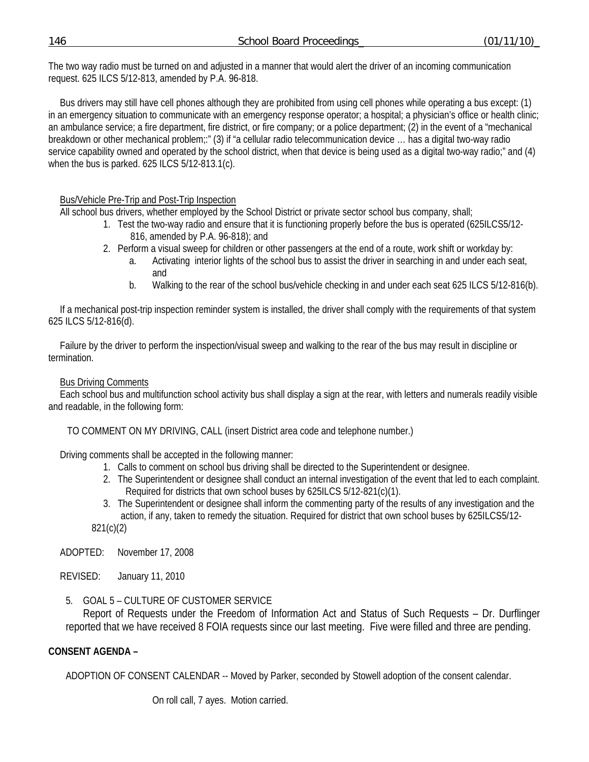The two way radio must be turned on and adjusted in a manner that would alert the driver of an incoming communication request. 625 ILCS 5/12-813, amended by P.A. 96-818.

Bus drivers may still have cell phones although they are prohibited from using cell phones while operating a bus except: (1) in an emergency situation to communicate with an emergency response operator; a hospital; a physician's office or health clinic; an ambulance service; a fire department, fire district, or fire company; or a police department; (2) in the event of a "mechanical breakdown or other mechanical problem;:" (3) if "a cellular radio telecommunication device … has a digital two-way radio service capability owned and operated by the school district, when that device is being used as a digital two-way radio;" and (4) when the bus is parked. 625 ILCS 5/12-813.1(c).

#### Bus/Vehicle Pre-Trip and Post-Trip Inspection

All school bus drivers, whether employed by the School District or private sector school bus company, shall;

- 1. Test the two-way radio and ensure that it is functioning properly before the bus is operated (625ILCS5/12- 816, amended by P.A. 96-818); and
- 2. Perform a visual sweep for children or other passengers at the end of a route, work shift or workday by:
	- a. Activating interior lights of the school bus to assist the driver in searching in and under each seat, and
	- b. Walking to the rear of the school bus/vehicle checking in and under each seat 625 ILCS 5/12-816(b).

If a mechanical post-trip inspection reminder system is installed, the driver shall comply with the requirements of that system 625 ILCS 5/12-816(d).

Failure by the driver to perform the inspection/visual sweep and walking to the rear of the bus may result in discipline or termination.

#### Bus Driving Comments

Each school bus and multifunction school activity bus shall display a sign at the rear, with letters and numerals readily visible and readable, in the following form:

TO COMMENT ON MY DRIVING, CALL (insert District area code and telephone number.)

Driving comments shall be accepted in the following manner:

- 1. Calls to comment on school bus driving shall be directed to the Superintendent or designee.
- 2. The Superintendent or designee shall conduct an internal investigation of the event that led to each complaint. Required for districts that own school buses by 625ILCS 5/12-821(c)(1).
- 3. The Superintendent or designee shall inform the commenting party of the results of any investigation and the action, if any, taken to remedy the situation. Required for district that own school buses by 625ILCS5/12-

821(c)(2)

ADOPTED: November 17, 2008

REVISED: January 11, 2010

5. GOAL 5 – CULTURE OF CUSTOMER SERVICE

 Report of Requests under the Freedom of Information Act and Status of Such Requests – Dr. Durflinger reported that we have received 8 FOIA requests since our last meeting. Five were filled and three are pending.

#### **CONSENT AGENDA –**

ADOPTION OF CONSENT CALENDAR -- Moved by Parker, seconded by Stowell adoption of the consent calendar.

On roll call, 7 ayes. Motion carried.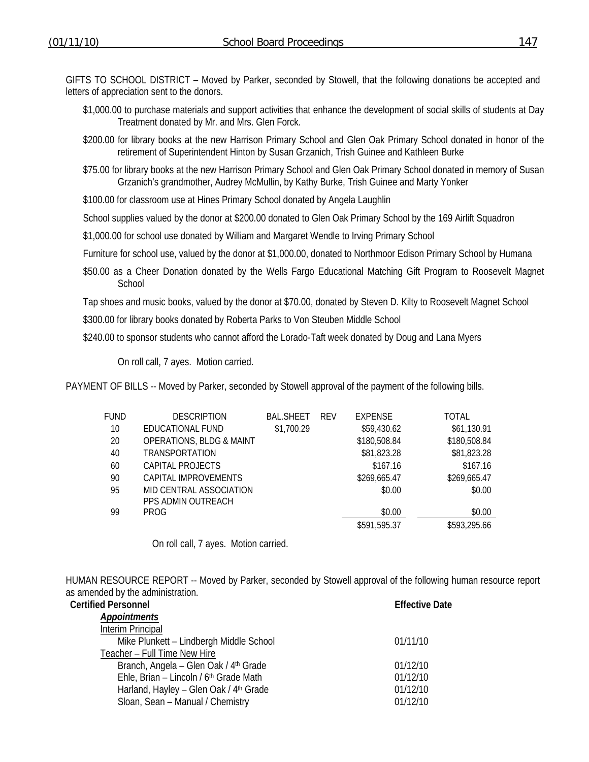GIFTS TO SCHOOL DISTRICT – Moved by Parker, seconded by Stowell, that the following donations be accepted and letters of appreciation sent to the donors.

- \$1,000.00 to purchase materials and support activities that enhance the development of social skills of students at Day Treatment donated by Mr. and Mrs. Glen Forck.
- \$200.00 for library books at the new Harrison Primary School and Glen Oak Primary School donated in honor of the retirement of Superintendent Hinton by Susan Grzanich, Trish Guinee and Kathleen Burke
- \$75.00 for library books at the new Harrison Primary School and Glen Oak Primary School donated in memory of Susan Grzanich's grandmother, Audrey McMullin, by Kathy Burke, Trish Guinee and Marty Yonker
- \$100.00 for classroom use at Hines Primary School donated by Angela Laughlin

School supplies valued by the donor at \$200.00 donated to Glen Oak Primary School by the 169 Airlift Squadron

\$1,000.00 for school use donated by William and Margaret Wendle to Irving Primary School

Furniture for school use, valued by the donor at \$1,000.00, donated to Northmoor Edison Primary School by Humana

\$50.00 as a Cheer Donation donated by the Wells Fargo Educational Matching Gift Program to Roosevelt Magnet **School** 

Tap shoes and music books, valued by the donor at \$70.00, donated by Steven D. Kilty to Roosevelt Magnet School

\$300.00 for library books donated by Roberta Parks to Von Steuben Middle School

\$240.00 to sponsor students who cannot afford the Lorado-Taft week donated by Doug and Lana Myers

On roll call, 7 ayes. Motion carried.

PAYMENT OF BILLS -- Moved by Parker, seconded by Stowell approval of the payment of the following bills.

| FUND | <b>DESCRIPTION</b>                  | BAL.SHEET  | <b>REV</b> | EXPENSE      | TOTAL        |
|------|-------------------------------------|------------|------------|--------------|--------------|
|      |                                     |            |            |              |              |
| 10   | EDUCATIONAL FUND                    | \$1,700.29 |            | \$59,430.62  | \$61,130.91  |
| 20   | <b>OPERATIONS, BLDG &amp; MAINT</b> |            |            | \$180,508.84 | \$180,508.84 |
| 40   | TRANSPORTATION                      |            |            | \$81,823.28  | \$81,823.28  |
| 60   | CAPITAL PROJECTS                    |            |            | \$167.16     | \$167.16     |
| 90   | CAPITAL IMPROVEMENTS                |            |            | \$269,665.47 | \$269,665.47 |
| 95   | MID CENTRAL ASSOCIATION             |            |            | \$0.00       | \$0.00       |
|      | PPS ADMIN OUTREACH                  |            |            |              |              |
| 99   | <b>PROG</b>                         |            |            | \$0.00       | \$0.00       |
|      |                                     |            |            | \$591,595.37 | \$593,295.66 |
|      |                                     |            |            |              |              |

On roll call, 7 ayes. Motion carried.

HUMAN RESOURCE REPORT -- Moved by Parker, seconded by Stowell approval of the following human resource report as amended by the administration.

| <b>Certified Personnel</b>                         | <b>Effective Date</b> |
|----------------------------------------------------|-----------------------|
| <b>Appointments</b>                                |                       |
| Interim Principal                                  |                       |
| Mike Plunkett - Lindbergh Middle School            | 01/11/10              |
| Teacher - Full Time New Hire                       |                       |
| Branch, Angela - Glen Oak / 4 <sup>th</sup> Grade  | 01/12/10              |
| Ehle, Brian - Lincoln / 6 <sup>th</sup> Grade Math | 01/12/10              |
| Harland, Hayley - Glen Oak / 4th Grade             | 01/12/10              |
| Sloan, Sean - Manual / Chemistry                   | 01/12/10              |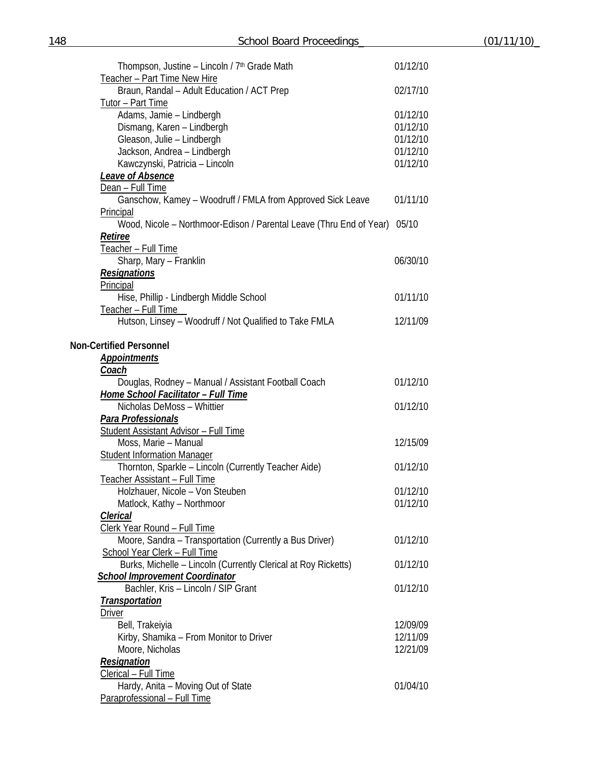| Thompson, Justine - Lincoln / 7 <sup>th</sup> Grade Math                  | 01/12/10 |
|---------------------------------------------------------------------------|----------|
| Teacher - Part Time New Hire                                              |          |
| Braun, Randal - Adult Education / ACT Prep                                | 02/17/10 |
| Tutor - Part Time                                                         |          |
| Adams, Jamie - Lindbergh                                                  | 01/12/10 |
| Dismang, Karen - Lindbergh                                                | 01/12/10 |
| Gleason, Julie - Lindbergh                                                | 01/12/10 |
| Jackson, Andrea - Lindbergh                                               | 01/12/10 |
| Kawczynski, Patricia - Lincoln                                            | 01/12/10 |
| <b>Leave of Absence</b>                                                   |          |
| Dean - Full Time                                                          |          |
| Ganschow, Kamey - Woodruff / FMLA from Approved Sick Leave                | 01/11/10 |
| Principal                                                                 |          |
| Wood, Nicole - Northmoor-Edison / Parental Leave (Thru End of Year) 05/10 |          |
| <u>Retiree</u>                                                            |          |
| Teacher - Full Time                                                       |          |
| Sharp, Mary - Franklin                                                    | 06/30/10 |
| <b>Resignations</b>                                                       |          |
| Principal                                                                 |          |
| Hise, Phillip - Lindbergh Middle School                                   | 01/11/10 |
| Teacher - Full Time                                                       |          |
| Hutson, Linsey - Woodruff / Not Qualified to Take FMLA                    | 12/11/09 |
|                                                                           |          |
| <b>Non-Certified Personnel</b>                                            |          |
| <u>Appointments</u>                                                       |          |
| <u>Coach</u>                                                              |          |
| Douglas, Rodney - Manual / Assistant Football Coach                       | 01/12/10 |
| <b>Home School Facilitator - Full Time</b>                                |          |
| Nicholas DeMoss - Whittier                                                | 01/12/10 |
| Para Professionals                                                        |          |
| <b>Student Assistant Advisor - Full Time</b>                              |          |
| Moss, Marie - Manual                                                      | 12/15/09 |
| <b>Student Information Manager</b>                                        |          |
| Thornton, Sparkle - Lincoln (Currently Teacher Aide)                      | 01/12/10 |
| Teacher Assistant - Full Time                                             |          |
| Holzhauer, Nicole - Von Steuben                                           | 01/12/10 |
| Matlock, Kathy - Northmoor                                                | 01/12/10 |
| Clerical                                                                  |          |
| Clerk Year Round - Full Time                                              |          |
| Moore, Sandra - Transportation (Currently a Bus Driver)                   | 01/12/10 |
| School Year Clerk - Full Time                                             |          |
| Burks, Michelle - Lincoln (Currently Clerical at Roy Ricketts)            | 01/12/10 |
| <b>School Improvement Coordinator</b>                                     |          |
| Bachler, Kris - Lincoln / SIP Grant                                       | 01/12/10 |
| <b>Transportation</b>                                                     |          |
| <b>Driver</b>                                                             |          |
| Bell, Trakeiyia                                                           | 12/09/09 |
| Kirby, Shamika - From Monitor to Driver                                   | 12/11/09 |
| Moore, Nicholas                                                           | 12/21/09 |
| Resignation                                                               |          |
| Clerical - Full Time                                                      |          |
| Hardy, Anita - Moving Out of State                                        | 01/04/10 |
| Paraprofessional - Full Time                                              |          |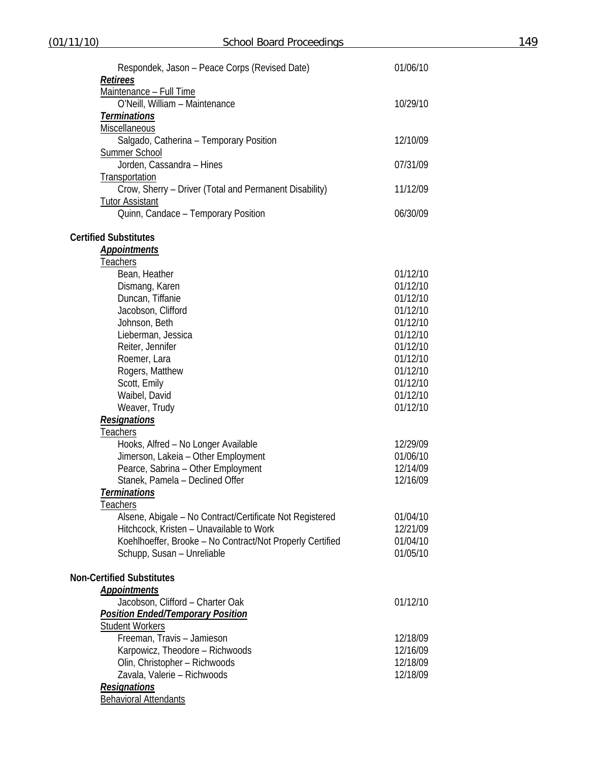| Respondek, Jason – Peace Corps (Revised Date)             | 01/06/10 |  |
|-----------------------------------------------------------|----------|--|
| <b>Retirees</b>                                           |          |  |
| Maintenance - Full Time                                   |          |  |
| O'Neill, William - Maintenance                            | 10/29/10 |  |
| <b>Terminations</b>                                       |          |  |
| <b>Miscellaneous</b>                                      |          |  |
| Salgado, Catherina - Temporary Position                   | 12/10/09 |  |
| <b>Summer School</b>                                      |          |  |
| Jorden, Cassandra - Hines                                 | 07/31/09 |  |
| <b>Transportation</b>                                     |          |  |
| Crow, Sherry - Driver (Total and Permanent Disability)    | 11/12/09 |  |
|                                                           |          |  |
| <b>Tutor Assistant</b>                                    |          |  |
| Quinn, Candace - Temporary Position                       | 06/30/09 |  |
| <b>Certified Substitutes</b>                              |          |  |
| <b>Appointments</b>                                       |          |  |
| Teachers                                                  |          |  |
| Bean, Heather                                             | 01/12/10 |  |
| Dismang, Karen                                            | 01/12/10 |  |
| Duncan, Tiffanie                                          | 01/12/10 |  |
| Jacobson, Clifford                                        | 01/12/10 |  |
| Johnson, Beth                                             | 01/12/10 |  |
|                                                           |          |  |
| Lieberman, Jessica                                        | 01/12/10 |  |
| Reiter, Jennifer                                          | 01/12/10 |  |
| Roemer, Lara                                              | 01/12/10 |  |
| Rogers, Matthew                                           | 01/12/10 |  |
| Scott, Emily                                              | 01/12/10 |  |
| Waibel, David                                             | 01/12/10 |  |
| Weaver, Trudy                                             | 01/12/10 |  |
| <b>Resignations</b>                                       |          |  |
| <u>Teachers</u>                                           |          |  |
| Hooks, Alfred - No Longer Available                       | 12/29/09 |  |
| Jimerson, Lakeia - Other Employment                       | 01/06/10 |  |
| Pearce, Sabrina - Other Employment                        | 12/14/09 |  |
| Stanek, Pamela - Declined Offer                           | 12/16/09 |  |
| <u>Terminations</u>                                       |          |  |
| Teachers                                                  |          |  |
| Alsene, Abigale - No Contract/Certificate Not Registered  | 01/04/10 |  |
| Hitchcock, Kristen - Unavailable to Work                  | 12/21/09 |  |
|                                                           |          |  |
| Koehlhoeffer, Brooke - No Contract/Not Properly Certified | 01/04/10 |  |
| Schupp, Susan - Unreliable                                | 01/05/10 |  |
| <b>Non-Certified Substitutes</b>                          |          |  |
| <b>Appointments</b>                                       |          |  |
| Jacobson, Clifford - Charter Oak                          | 01/12/10 |  |
| <b>Position Ended/Temporary Position</b>                  |          |  |
| <b>Student Workers</b>                                    |          |  |
| Freeman, Travis - Jamieson                                | 12/18/09 |  |
| Karpowicz, Theodore - Richwoods                           | 12/16/09 |  |
| Olin, Christopher - Richwoods                             | 12/18/09 |  |
| Zavala, Valerie - Richwoods                               | 12/18/09 |  |
|                                                           |          |  |
| <b>Resignations</b>                                       |          |  |
| <b>Behavioral Attendants</b>                              |          |  |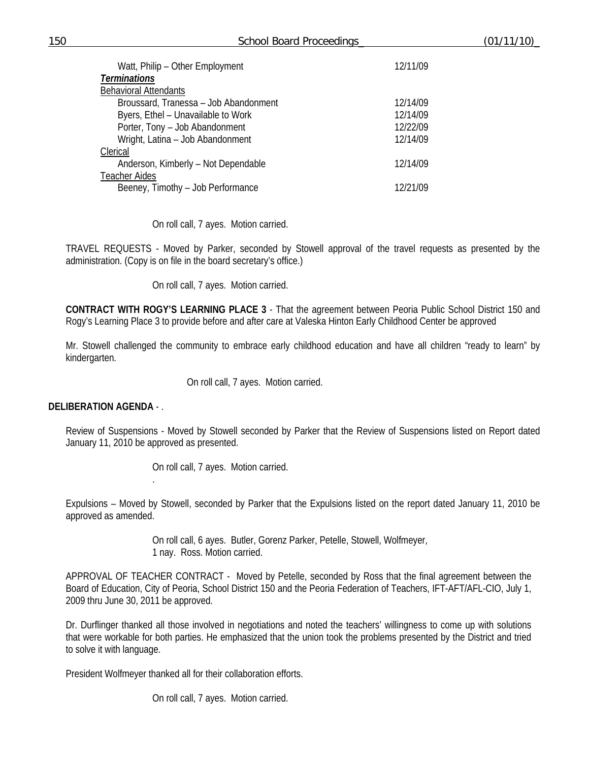| 12/11/09 |
|----------|
|          |
|          |
| 12/14/09 |
| 12/14/09 |
| 12/22/09 |
| 12/14/09 |
|          |
| 12/14/09 |
|          |
| 12/21/09 |
|          |

On roll call, 7 ayes. Motion carried.

TRAVEL REQUESTS - Moved by Parker, seconded by Stowell approval of the travel requests as presented by the administration. (Copy is on file in the board secretary's office.)

On roll call, 7 ayes. Motion carried.

**CONTRACT WITH ROGY'S LEARNING PLACE 3** - That the agreement between Peoria Public School District 150 and Rogy's Learning Place 3 to provide before and after care at Valeska Hinton Early Childhood Center be approved

Mr. Stowell challenged the community to embrace early childhood education and have all children "ready to learn" by kindergarten.

On roll call, 7 ayes. Motion carried.

#### **DELIBERATION AGENDA** - .

.

Review of Suspensions - Moved by Stowell seconded by Parker that the Review of Suspensions listed on Report dated January 11, 2010 be approved as presented.

On roll call, 7 ayes. Motion carried.

Expulsions – Moved by Stowell, seconded by Parker that the Expulsions listed on the report dated January 11, 2010 be approved as amended.

> On roll call, 6 ayes. Butler, Gorenz Parker, Petelle, Stowell, Wolfmeyer, 1 nay. Ross. Motion carried.

APPROVAL OF TEACHER CONTRACT - Moved by Petelle, seconded by Ross that the final agreement between the Board of Education, City of Peoria, School District 150 and the Peoria Federation of Teachers, IFT-AFT/AFL-CIO, July 1, 2009 thru June 30, 2011 be approved.

Dr. Durflinger thanked all those involved in negotiations and noted the teachers' willingness to come up with solutions that were workable for both parties. He emphasized that the union took the problems presented by the District and tried to solve it with language.

President Wolfmeyer thanked all for their collaboration efforts.

On roll call, 7 ayes. Motion carried.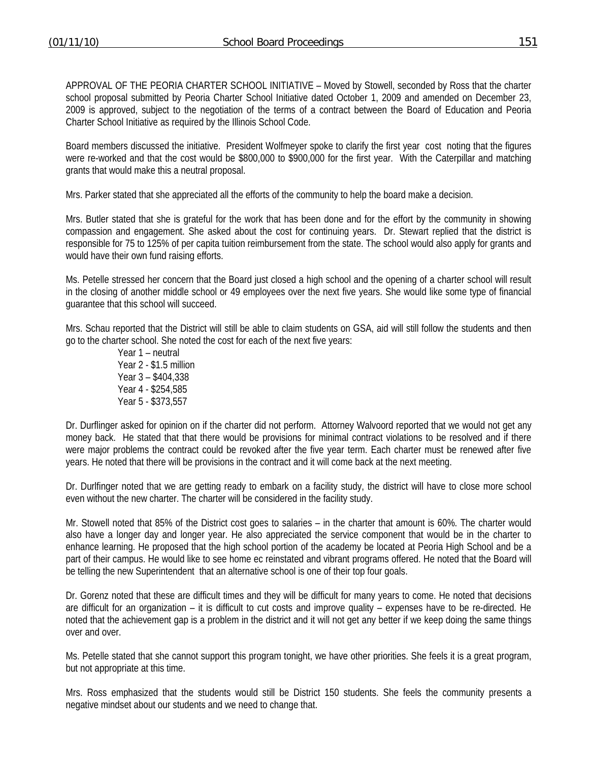APPROVAL OF THE PEORIA CHARTER SCHOOL INITIATIVE – Moved by Stowell, seconded by Ross that the charter school proposal submitted by Peoria Charter School Initiative dated October 1, 2009 and amended on December 23, 2009 is approved, subject to the negotiation of the terms of a contract between the Board of Education and Peoria Charter School Initiative as required by the Illinois School Code.

Board members discussed the initiative. President Wolfmeyer spoke to clarify the first year cost noting that the figures were re-worked and that the cost would be \$800,000 to \$900,000 for the first year. With the Caterpillar and matching grants that would make this a neutral proposal.

Mrs. Parker stated that she appreciated all the efforts of the community to help the board make a decision.

Mrs. Butler stated that she is grateful for the work that has been done and for the effort by the community in showing compassion and engagement. She asked about the cost for continuing years. Dr. Stewart replied that the district is responsible for 75 to 125% of per capita tuition reimbursement from the state. The school would also apply for grants and would have their own fund raising efforts.

Ms. Petelle stressed her concern that the Board just closed a high school and the opening of a charter school will result in the closing of another middle school or 49 employees over the next five years. She would like some type of financial guarantee that this school will succeed.

Mrs. Schau reported that the District will still be able to claim students on GSA, aid will still follow the students and then go to the charter school. She noted the cost for each of the next five years:

 Year 1 – neutral Year 2 - \$1.5 million Year 3 – \$404,338 Year 4 - \$254,585 Year 5 - \$373,557

Dr. Durflinger asked for opinion on if the charter did not perform. Attorney Walvoord reported that we would not get any money back. He stated that that there would be provisions for minimal contract violations to be resolved and if there were major problems the contract could be revoked after the five year term. Each charter must be renewed after five years. He noted that there will be provisions in the contract and it will come back at the next meeting.

Dr. Durlfinger noted that we are getting ready to embark on a facility study, the district will have to close more school even without the new charter. The charter will be considered in the facility study.

Mr. Stowell noted that 85% of the District cost goes to salaries – in the charter that amount is 60%. The charter would also have a longer day and longer year. He also appreciated the service component that would be in the charter to enhance learning. He proposed that the high school portion of the academy be located at Peoria High School and be a part of their campus. He would like to see home ec reinstated and vibrant programs offered. He noted that the Board will be telling the new Superintendent that an alternative school is one of their top four goals.

Dr. Gorenz noted that these are difficult times and they will be difficult for many years to come. He noted that decisions are difficult for an organization – it is difficult to cut costs and improve quality – expenses have to be re-directed. He noted that the achievement gap is a problem in the district and it will not get any better if we keep doing the same things over and over.

Ms. Petelle stated that she cannot support this program tonight, we have other priorities. She feels it is a great program, but not appropriate at this time.

Mrs. Ross emphasized that the students would still be District 150 students. She feels the community presents a negative mindset about our students and we need to change that.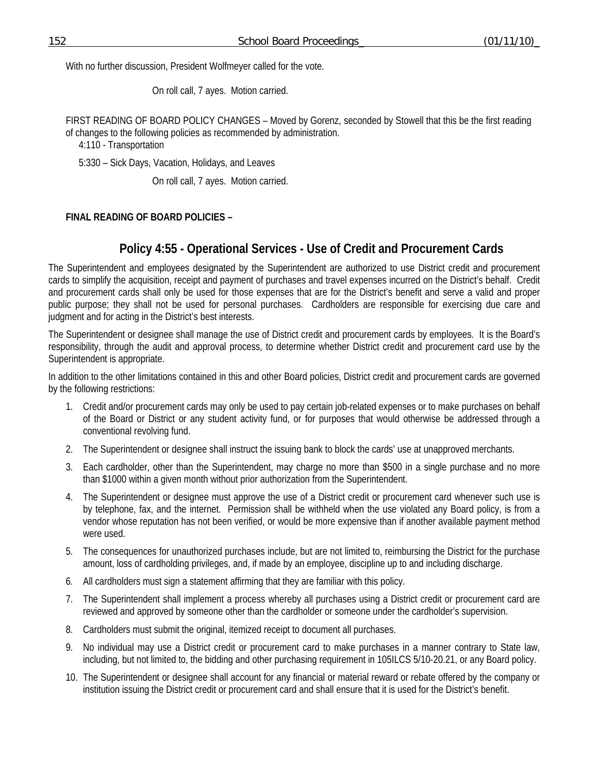With no further discussion, President Wolfmeyer called for the vote.

On roll call, 7 ayes. Motion carried.

FIRST READING OF BOARD POLICY CHANGES – Moved by Gorenz, seconded by Stowell that this be the first reading of changes to the following policies as recommended by administration.

4:110 - Transportation

5:330 – Sick Days, Vacation, Holidays, and Leaves

On roll call, 7 ayes. Motion carried.

### **FINAL READING OF BOARD POLICIES –**

# **Policy 4:55 - Operational Services - Use of Credit and Procurement Cards**

The Superintendent and employees designated by the Superintendent are authorized to use District credit and procurement cards to simplify the acquisition, receipt and payment of purchases and travel expenses incurred on the District's behalf. Credit and procurement cards shall only be used for those expenses that are for the District's benefit and serve a valid and proper public purpose; they shall not be used for personal purchases. Cardholders are responsible for exercising due care and judgment and for acting in the District's best interests.

The Superintendent or designee shall manage the use of District credit and procurement cards by employees. It is the Board's responsibility, through the audit and approval process, to determine whether District credit and procurement card use by the Superintendent is appropriate.

In addition to the other limitations contained in this and other Board policies, District credit and procurement cards are governed by the following restrictions:

- 1. Credit and/or procurement cards may only be used to pay certain job-related expenses or to make purchases on behalf of the Board or District or any student activity fund, or for purposes that would otherwise be addressed through a conventional revolving fund.
- 2. The Superintendent or designee shall instruct the issuing bank to block the cards' use at unapproved merchants.
- 3. Each cardholder, other than the Superintendent, may charge no more than \$500 in a single purchase and no more than \$1000 within a given month without prior authorization from the Superintendent.
- 4. The Superintendent or designee must approve the use of a District credit or procurement card whenever such use is by telephone, fax, and the internet. Permission shall be withheld when the use violated any Board policy, is from a vendor whose reputation has not been verified, or would be more expensive than if another available payment method were used.
- 5. The consequences for unauthorized purchases include, but are not limited to, reimbursing the District for the purchase amount, loss of cardholding privileges, and, if made by an employee, discipline up to and including discharge.
- 6. All cardholders must sign a statement affirming that they are familiar with this policy.
- 7. The Superintendent shall implement a process whereby all purchases using a District credit or procurement card are reviewed and approved by someone other than the cardholder or someone under the cardholder's supervision.
- 8. Cardholders must submit the original, itemized receipt to document all purchases.
- 9. No individual may use a District credit or procurement card to make purchases in a manner contrary to State law, including, but not limited to, the bidding and other purchasing requirement in 105ILCS 5/10-20.21, or any Board policy.
- 10. The Superintendent or designee shall account for any financial or material reward or rebate offered by the company or institution issuing the District credit or procurement card and shall ensure that it is used for the District's benefit.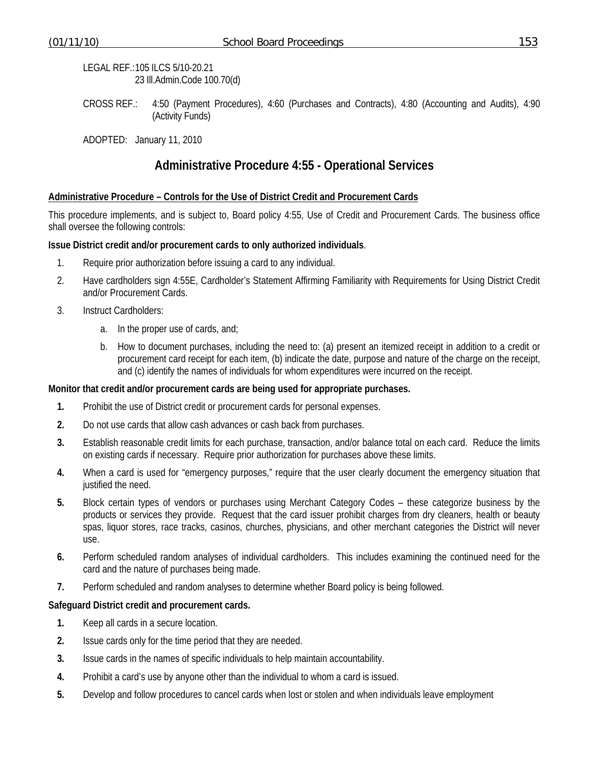LEGAL REF.: 105 ILCS 5/10-20.21 23 Ill.Admin.Code 100.70(d)

CROSS REF.: 4:50 (Payment Procedures), 4:60 (Purchases and Contracts), 4:80 (Accounting and Audits), 4:90 (Activity Funds)

ADOPTED: January 11, 2010

## **Administrative Procedure 4:55 - Operational Services**

#### **Administrative Procedure – Controls for the Use of District Credit and Procurement Cards**

This procedure implements, and is subject to, Board policy 4:55, Use of Credit and Procurement Cards. The business office shall oversee the following controls:

#### **Issue District credit and/or procurement cards to only authorized individuals**.

- 1. Require prior authorization before issuing a card to any individual.
- 2. Have cardholders sign 4:55E, Cardholder's Statement Affirming Familiarity with Requirements for Using District Credit and/or Procurement Cards.
- 3. Instruct Cardholders:
	- a. In the proper use of cards, and;
	- b. How to document purchases, including the need to: (a) present an itemized receipt in addition to a credit or procurement card receipt for each item, (b) indicate the date, purpose and nature of the charge on the receipt, and (c) identify the names of individuals for whom expenditures were incurred on the receipt.

#### **Monitor that credit and/or procurement cards are being used for appropriate purchases.**

- **1.** Prohibit the use of District credit or procurement cards for personal expenses.
- **2.** Do not use cards that allow cash advances or cash back from purchases.
- **3.** Establish reasonable credit limits for each purchase, transaction, and/or balance total on each card. Reduce the limits on existing cards if necessary. Require prior authorization for purchases above these limits.
- **4.** When a card is used for "emergency purposes," require that the user clearly document the emergency situation that justified the need.
- **5.** Block certain types of vendors or purchases using Merchant Category Codes these categorize business by the products or services they provide. Request that the card issuer prohibit charges from dry cleaners, health or beauty spas, liquor stores, race tracks, casinos, churches, physicians, and other merchant categories the District will never use.
- **6.** Perform scheduled random analyses of individual cardholders. This includes examining the continued need for the card and the nature of purchases being made.
- **7.** Perform scheduled and random analyses to determine whether Board policy is being followed.

#### **Safeguard District credit and procurement cards.**

- **1.** Keep all cards in a secure location.
- **2.** Issue cards only for the time period that they are needed.
- **3.** Issue cards in the names of specific individuals to help maintain accountability.
- **4.** Prohibit a card's use by anyone other than the individual to whom a card is issued.
- **5.** Develop and follow procedures to cancel cards when lost or stolen and when individuals leave employment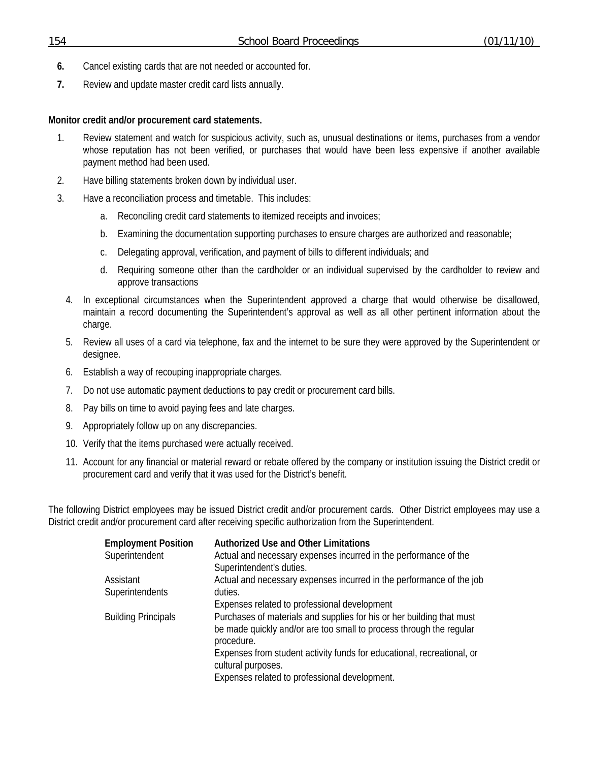- **6.** Cancel existing cards that are not needed or accounted for.
- **7.** Review and update master credit card lists annually.

#### **Monitor credit and/or procurement card statements.**

- 1. Review statement and watch for suspicious activity, such as, unusual destinations or items, purchases from a vendor whose reputation has not been verified, or purchases that would have been less expensive if another available payment method had been used.
- 2. Have billing statements broken down by individual user.
- 3. Have a reconciliation process and timetable. This includes:
	- a. Reconciling credit card statements to itemized receipts and invoices;
	- b. Examining the documentation supporting purchases to ensure charges are authorized and reasonable;
	- c. Delegating approval, verification, and payment of bills to different individuals; and
	- d. Requiring someone other than the cardholder or an individual supervised by the cardholder to review and approve transactions
	- 4. In exceptional circumstances when the Superintendent approved a charge that would otherwise be disallowed, maintain a record documenting the Superintendent's approval as well as all other pertinent information about the charge.
	- 5. Review all uses of a card via telephone, fax and the internet to be sure they were approved by the Superintendent or designee.
	- 6. Establish a way of recouping inappropriate charges.
	- 7. Do not use automatic payment deductions to pay credit or procurement card bills.
	- 8. Pay bills on time to avoid paying fees and late charges.
	- 9. Appropriately follow up on any discrepancies.
	- 10. Verify that the items purchased were actually received.
	- 11. Account for any financial or material reward or rebate offered by the company or institution issuing the District credit or procurement card and verify that it was used for the District's benefit.

The following District employees may be issued District credit and/or procurement cards. Other District employees may use a District credit and/or procurement card after receiving specific authorization from the Superintendent.

| <b>Employment Position</b> | <b>Authorized Use and Other Limitations</b>                                                                                                                |
|----------------------------|------------------------------------------------------------------------------------------------------------------------------------------------------------|
| Superintendent             | Actual and necessary expenses incurred in the performance of the<br>Superintendent's duties.                                                               |
| Assistant                  | Actual and necessary expenses incurred in the performance of the job                                                                                       |
| Superintendents            | duties.                                                                                                                                                    |
|                            | Expenses related to professional development                                                                                                               |
| <b>Building Principals</b> | Purchases of materials and supplies for his or her building that must<br>be made quickly and/or are too small to process through the regular<br>procedure. |
|                            | Expenses from student activity funds for educational, recreational, or<br>cultural purposes.                                                               |
|                            | Expenses related to professional development.                                                                                                              |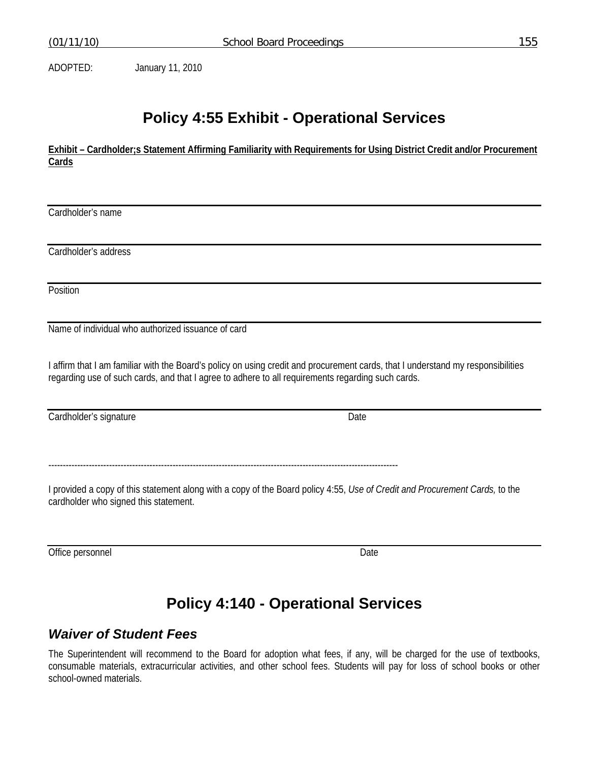ADOPTED: January 11, 2010

# **Policy 4:55 Exhibit - Operational Services**

**Exhibit – Cardholder;s Statement Affirming Familiarity with Requirements for Using District Credit and/or Procurement Cards**

Cardholder's name

Cardholder's address

**Position** 

Name of individual who authorized issuance of card

I affirm that I am familiar with the Board's policy on using credit and procurement cards, that I understand my responsibilities regarding use of such cards, and that I agree to adhere to all requirements regarding such cards.

Cardholder's signature Date

-------------------------------------------------------------------------------------------------------------------------

I provided a copy of this statement along with a copy of the Board policy 4:55, *Use of Credit and Procurement Cards,* to the cardholder who signed this statement.

Office personnel Date

# **Policy 4:140 - Operational Services**

## *Waiver of Student Fees*

The Superintendent will recommend to the Board for adoption what fees, if any, will be charged for the use of textbooks, consumable materials, extracurricular activities, and other school fees. Students will pay for loss of school books or other school-owned materials.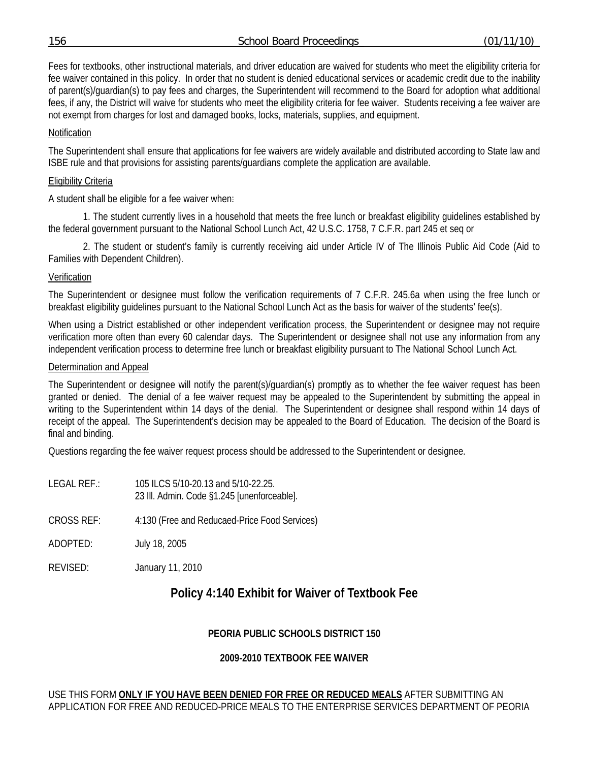|--|

Fees for textbooks, other instructional materials, and driver education are waived for students who meet the eligibility criteria for fee waiver contained in this policy. In order that no student is denied educational services or academic credit due to the inability of parent(s)/guardian(s) to pay fees and charges, the Superintendent will recommend to the Board for adoption what additional fees, if any, the District will waive for students who meet the eligibility criteria for fee waiver. Students receiving a fee waiver are not exempt from charges for lost and damaged books, locks, materials, supplies, and equipment.

#### Notification

The Superintendent shall ensure that applications for fee waivers are widely available and distributed according to State law and ISBE rule and that provisions for assisting parents/guardians complete the application are available.

#### Eligibility Criteria

A student shall be eligible for a fee waiver when:

 1. The student currently lives in a household that meets the free lunch or breakfast eligibility guidelines established by the federal government pursuant to the National School Lunch Act, 42 U.S.C. 1758, 7 C.F.R. part 245 et seq or

 2. The student or student's family is currently receiving aid under Article IV of The Illinois Public Aid Code (Aid to Families with Dependent Children).

#### Verification

The Superintendent or designee must follow the verification requirements of 7 C.F.R. 245.6a when using the free lunch or breakfast eligibility guidelines pursuant to the National School Lunch Act as the basis for waiver of the students' fee(s).

When using a District established or other independent verification process, the Superintendent or designee may not require verification more often than every 60 calendar days. The Superintendent or designee shall not use any information from any independent verification process to determine free lunch or breakfast eligibility pursuant to The National School Lunch Act.

#### Determination and Appeal

The Superintendent or designee will notify the parent(s)/guardian(s) promptly as to whether the fee waiver request has been granted or denied. The denial of a fee waiver request may be appealed to the Superintendent by submitting the appeal in writing to the Superintendent within 14 days of the denial. The Superintendent or designee shall respond within 14 days of receipt of the appeal. The Superintendent's decision may be appealed to the Board of Education. The decision of the Board is final and binding.

Questions regarding the fee waiver request process should be addressed to the Superintendent or designee.

- LEGAL REF.: 105 ILCS 5/10-20.13 and 5/10-22.25. 23 Ill. Admin. Code §1.245 [unenforceable]. CROSS REF: 4:130 (Free and Reducaed-Price Food Services) ADOPTED: July 18, 2005
- REVISED: January 11, 2010

# **Policy 4:140 Exhibit for Waiver of Textbook Fee**

### **PEORIA PUBLIC SCHOOLS DISTRICT 150**

### **2009-2010 TEXTBOOK FEE WAIVER**

#### USE THIS FORM **ONLY IF YOU HAVE BEEN DENIED FOR FREE OR REDUCED MEALS** AFTER SUBMITTING AN APPLICATION FOR FREE AND REDUCED-PRICE MEALS TO THE ENTERPRISE SERVICES DEPARTMENT OF PEORIA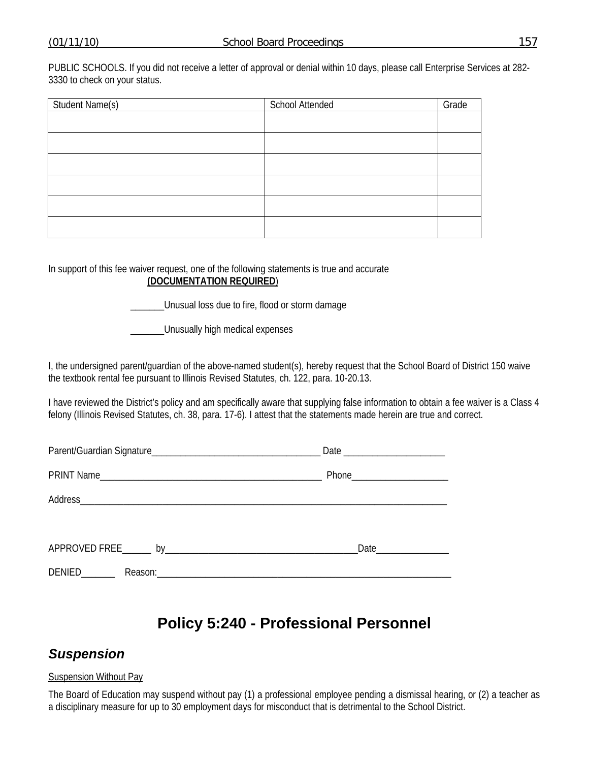PUBLIC SCHOOLS. If you did not receive a letter of approval or denial within 10 days, please call Enterprise Services at 282- 3330 to check on your status.

| Student Name(s) | <b>School Attended</b> | Grade |
|-----------------|------------------------|-------|
|                 |                        |       |
|                 |                        |       |
|                 |                        |       |
|                 |                        |       |
|                 |                        |       |
|                 |                        |       |

In support of this fee waiver request, one of the following statements is true and accurate **(DOCUMENTATION REQUIRED**)

\_\_\_\_\_\_\_Unusual loss due to fire, flood or storm damage

\_\_\_\_\_\_\_Unusually high medical expenses

I, the undersigned parent/guardian of the above-named student(s), hereby request that the School Board of District 150 waive the textbook rental fee pursuant to Illinois Revised Statutes, ch. 122, para. 10-20.13.

I have reviewed the District's policy and am specifically aware that supplying false information to obtain a fee waiver is a Class 4 felony (Illinois Revised Statutes, ch. 38, para. 17-6). I attest that the statements made herein are true and correct.

|               | Phone________________________ |
|---------------|-------------------------------|
|               |                               |
|               |                               |
| DENIED_______ |                               |

# **Policy 5:240 - Professional Personnel**

# *Suspension*

#### Suspension Without Pay

The Board of Education may suspend without pay (1) a professional employee pending a dismissal hearing, or (2) a teacher as a disciplinary measure for up to 30 employment days for misconduct that is detrimental to the School District.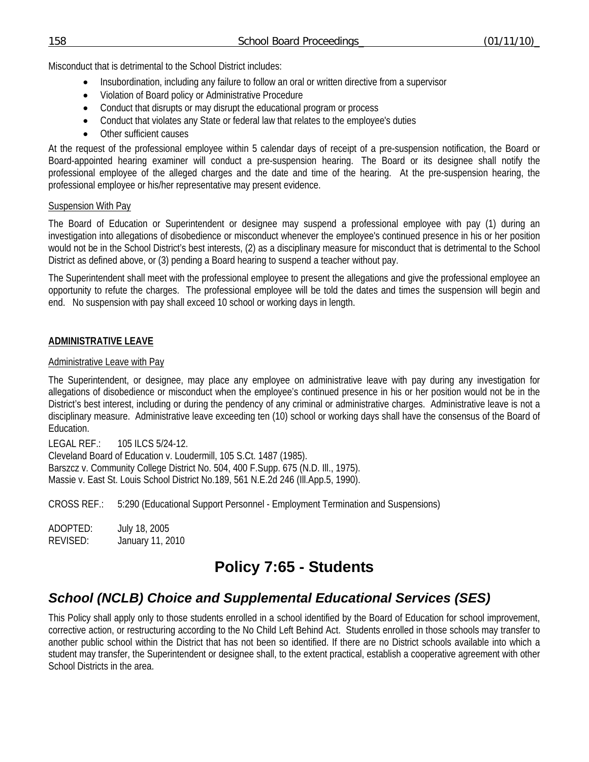Misconduct that is detrimental to the School District includes:

- Insubordination, including any failure to follow an oral or written directive from a supervisor
- Violation of Board policy or Administrative Procedure
- Conduct that disrupts or may disrupt the educational program or process
- Conduct that violates any State or federal law that relates to the employee's duties
- Other sufficient causes

At the request of the professional employee within 5 calendar days of receipt of a pre-suspension notification, the Board or Board-appointed hearing examiner will conduct a pre-suspension hearing. The Board or its designee shall notify the professional employee of the alleged charges and the date and time of the hearing. At the pre-suspension hearing, the professional employee or his/her representative may present evidence.

#### Suspension With Pay

The Board of Education or Superintendent or designee may suspend a professional employee with pay (1) during an investigation into allegations of disobedience or misconduct whenever the employee's continued presence in his or her position would not be in the School District's best interests, (2) as a disciplinary measure for misconduct that is detrimental to the School District as defined above, or (3) pending a Board hearing to suspend a teacher without pay.

The Superintendent shall meet with the professional employee to present the allegations and give the professional employee an opportunity to refute the charges. The professional employee will be told the dates and times the suspension will begin and end. No suspension with pay shall exceed 10 school or working days in length.

### **ADMINISTRATIVE LEAVE**

#### Administrative Leave with Pay

The Superintendent, or designee, may place any employee on administrative leave with pay during any investigation for allegations of disobedience or misconduct when the employee's continued presence in his or her position would not be in the District's best interest, including or during the pendency of any criminal or administrative charges. Administrative leave is not a disciplinary measure. Administrative leave exceeding ten (10) school or working days shall have the consensus of the Board of Education.

LEGAL REF.: 105 ILCS 5/24-12. Cleveland Board of Education v. Loudermill, 105 S.Ct. 1487 (1985). Barszcz v. Community College District No. 504, 400 F.Supp. 675 (N.D. Ill., 1975). Massie v. East St. Louis School District No.189, 561 N.E.2d 246 (Ill.App.5, 1990).

CROSS REF.: 5:290 (Educational Support Personnel - Employment Termination and Suspensions)

ADOPTED: July 18, 2005 REVISED: January 11, 2010

# **Policy 7:65 - Students**

# *School (NCLB) Choice and Supplemental Educational Services (SES)*

This Policy shall apply only to those students enrolled in a school identified by the Board of Education for school improvement, corrective action, or restructuring according to the No Child Left Behind Act. Students enrolled in those schools may transfer to another public school within the District that has not been so identified. If there are no District schools available into which a student may transfer, the Superintendent or designee shall, to the extent practical, establish a cooperative agreement with other School Districts in the area.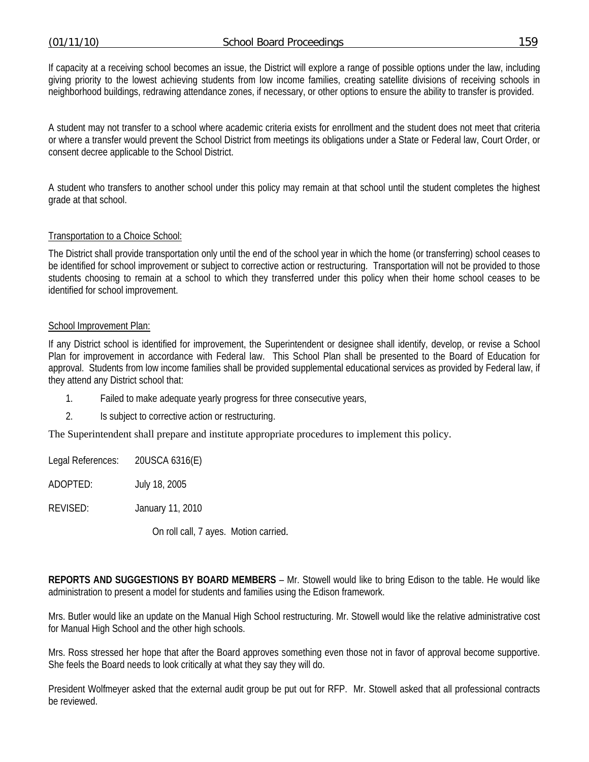If capacity at a receiving school becomes an issue, the District will explore a range of possible options under the law, including giving priority to the lowest achieving students from low income families, creating satellite divisions of receiving schools in neighborhood buildings, redrawing attendance zones, if necessary, or other options to ensure the ability to transfer is provided.

A student may not transfer to a school where academic criteria exists for enrollment and the student does not meet that criteria or where a transfer would prevent the School District from meetings its obligations under a State or Federal law, Court Order, or consent decree applicable to the School District.

A student who transfers to another school under this policy may remain at that school until the student completes the highest grade at that school.

#### Transportation to a Choice School:

The District shall provide transportation only until the end of the school year in which the home (or transferring) school ceases to be identified for school improvement or subject to corrective action or restructuring. Transportation will not be provided to those students choosing to remain at a school to which they transferred under this policy when their home school ceases to be identified for school improvement.

#### School Improvement Plan:

If any District school is identified for improvement, the Superintendent or designee shall identify, develop, or revise a School Plan for improvement in accordance with Federal law. This School Plan shall be presented to the Board of Education for approval. Students from low income families shall be provided supplemental educational services as provided by Federal law, if they attend any District school that:

- 1. Failed to make adequate yearly progress for three consecutive years,
- 2. Is subject to corrective action or restructuring.

The Superintendent shall prepare and institute appropriate procedures to implement this policy.

Legal References: 20USCA 6316(E)

ADOPTED: July 18, 2005

REVISED: January 11, 2010

On roll call, 7 ayes. Motion carried.

**REPORTS AND SUGGESTIONS BY BOARD MEMBERS** – Mr. Stowell would like to bring Edison to the table. He would like administration to present a model for students and families using the Edison framework.

Mrs. Butler would like an update on the Manual High School restructuring. Mr. Stowell would like the relative administrative cost for Manual High School and the other high schools.

Mrs. Ross stressed her hope that after the Board approves something even those not in favor of approval become supportive. She feels the Board needs to look critically at what they say they will do.

President Wolfmeyer asked that the external audit group be put out for RFP. Mr. Stowell asked that all professional contracts be reviewed.